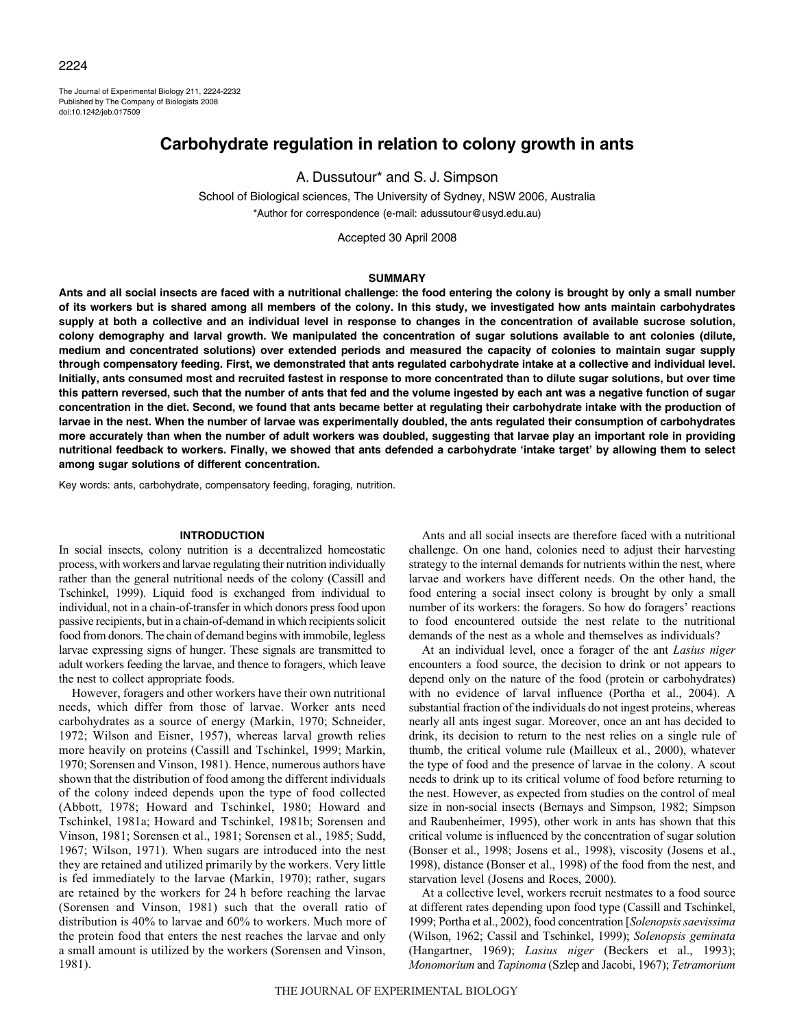## 2224

The Journal of Experimental Biology 211, 2224-2232 Published by The Company of Biologists 2008 doi:10.1242/jeb.017509

# **Carbohydrate regulation in relation to colony growth in ants**

A. Dussutour\* and S. J. Simpson

School of Biological sciences, The University of Sydney, NSW 2006, Australia \*Author for correspondence (e-mail: adussutour@usyd.edu.au)

Accepted 30 April 2008

## **SUMMARY**

**Ants and all social insects are faced with a nutritional challenge: the food entering the colony is brought by only a small number of its workers but is shared among all members of the colony. In this study, we investigated how ants maintain carbohydrates supply at both a collective and an individual level in response to changes in the concentration of available sucrose solution, colony demography and larval growth. We manipulated the concentration of sugar solutions available to ant colonies (dilute, medium and concentrated solutions) over extended periods and measured the capacity of colonies to maintain sugar supply through compensatory feeding. First, we demonstrated that ants regulated carbohydrate intake at a collective and individual level. Initially, ants consumed most and recruited fastest in response to more concentrated than to dilute sugar solutions, but over time this pattern reversed, such that the number of ants that fed and the volume ingested by each ant was a negative function of sugar concentration in the diet. Second, we found that ants became better at regulating their carbohydrate intake with the production of larvae in the nest. When the number of larvae was experimentally doubled, the ants regulated their consumption of carbohydrates more accurately than when the number of adult workers was doubled, suggesting that larvae play an important role in providing nutritional feedback to workers. Finally, we showed that ants defended a carbohydrate 'intake target' by allowing them to select among sugar solutions of different concentration.**

Key words: ants, carbohydrate, compensatory feeding, foraging, nutrition.

## **INTRODUCTION**

In social insects, colony nutrition is a decentralized homeostatic process, with workers and larvae regulating their nutrition individually rather than the general nutritional needs of the colony (Cassill and Tschinkel, 1999). Liquid food is exchanged from individual to individual, not in a chain-of-transfer in which donors press food upon passive recipients, but in a chain-of-demand in which recipients solicit food from donors. The chain of demand begins with immobile, legless larvae expressing signs of hunger. These signals are transmitted to adult workers feeding the larvae, and thence to foragers, which leave the nest to collect appropriate foods.

However, foragers and other workers have their own nutritional needs, which differ from those of larvae. Worker ants need carbohydrates as a source of energy (Markin, 1970; Schneider, 1972; Wilson and Eisner, 1957), whereas larval growth relies more heavily on proteins (Cassill and Tschinkel, 1999; Markin, 1970; Sorensen and Vinson, 1981). Hence, numerous authors have shown that the distribution of food among the different individuals of the colony indeed depends upon the type of food collected (Abbott, 1978; Howard and Tschinkel, 1980; Howard and Tschinkel, 1981a; Howard and Tschinkel, 1981b; Sorensen and Vinson, 1981; Sorensen et al., 1981; Sorensen et al., 1985; Sudd, 1967; Wilson, 1971). When sugars are introduced into the nest they are retained and utilized primarily by the workers. Very little is fed immediately to the larvae (Markin, 1970); rather, sugars are retained by the workers for 24 h before reaching the larvae (Sorensen and Vinson, 1981) such that the overall ratio of distribution is 40% to larvae and 60% to workers. Much more of the protein food that enters the nest reaches the larvae and only a small amount is utilized by the workers (Sorensen and Vinson, 1981).

Ants and all social insects are therefore faced with a nutritional challenge. On one hand, colonies need to adjust their harvesting strategy to the internal demands for nutrients within the nest, where larvae and workers have different needs. On the other hand, the food entering a social insect colony is brought by only a small number of its workers: the foragers. So how do foragers' reactions to food encountered outside the nest relate to the nutritional demands of the nest as a whole and themselves as individuals?

At an individual level, once a forager of the ant *Lasius niger* encounters a food source, the decision to drink or not appears to depend only on the nature of the food (protein or carbohydrates) with no evidence of larval influence (Portha et al., 2004). A substantial fraction of the individuals do not ingest proteins, whereas nearly all ants ingest sugar. Moreover, once an ant has decided to drink, its decision to return to the nest relies on a single rule of thumb, the critical volume rule (Mailleux et al., 2000), whatever the type of food and the presence of larvae in the colony. A scout needs to drink up to its critical volume of food before returning to the nest. However, as expected from studies on the control of meal size in non-social insects (Bernays and Simpson, 1982; Simpson and Raubenheimer, 1995), other work in ants has shown that this critical volume is influenced by the concentration of sugar solution (Bonser et al., 1998; Josens et al., 1998), viscosity (Josens et al., 1998), distance (Bonser et al., 1998) of the food from the nest, and starvation level (Josens and Roces, 2000).

At a collective level, workers recruit nestmates to a food source at different rates depending upon food type (Cassill and Tschinkel, 1999; Portha et al., 2002), food concentration [*Solenopsis saevissima* (Wilson, 1962; Cassil and Tschinkel, 1999); *Solenopsis geminata* (Hangartner, 1969); *Lasius niger* (Beckers et al., 1993); *Monomorium* and *Tapinoma* (Szlep and Jacobi, 1967); *Tetramorium*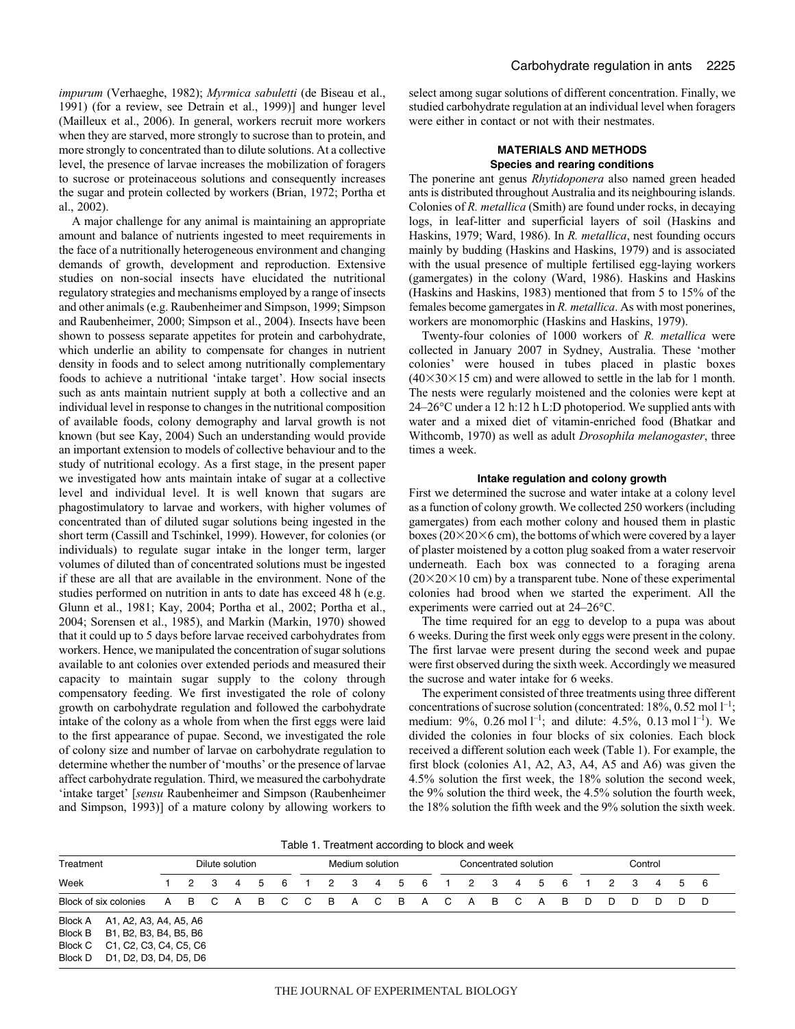*impurum* (Verhaeghe, 1982); *Myrmica sabuletti* (de Biseau et al., 1991) (for a review, see Detrain et al., 1999)] and hunger level (Mailleux et al., 2006). In general, workers recruit more workers when they are starved, more strongly to sucrose than to protein, and more strongly to concentrated than to dilute solutions. At a collective level, the presence of larvae increases the mobilization of foragers to sucrose or proteinaceous solutions and consequently increases the sugar and protein collected by workers (Brian, 1972; Portha et al., 2002).

A major challenge for any animal is maintaining an appropriate amount and balance of nutrients ingested to meet requirements in the face of a nutritionally heterogeneous environment and changing demands of growth, development and reproduction. Extensive studies on non-social insects have elucidated the nutritional regulatory strategies and mechanisms employed by a range of insects and other animals (e.g. Raubenheimer and Simpson, 1999; Simpson and Raubenheimer, 2000; Simpson et al., 2004). Insects have been shown to possess separate appetites for protein and carbohydrate, which underlie an ability to compensate for changes in nutrient density in foods and to select among nutritionally complementary foods to achieve a nutritional 'intake target'. How social insects such as ants maintain nutrient supply at both a collective and an individual level in response to changes in the nutritional composition of available foods, colony demography and larval growth is not known (but see Kay, 2004) Such an understanding would provide an important extension to models of collective behaviour and to the study of nutritional ecology. As a first stage, in the present paper we investigated how ants maintain intake of sugar at a collective level and individual level. It is well known that sugars are phagostimulatory to larvae and workers, with higher volumes of concentrated than of diluted sugar solutions being ingested in the short term (Cassill and Tschinkel, 1999). However, for colonies (or individuals) to regulate sugar intake in the longer term, larger volumes of diluted than of concentrated solutions must be ingested if these are all that are available in the environment. None of the studies performed on nutrition in ants to date has exceed 48 h (e.g. Glunn et al., 1981; Kay, 2004; Portha et al., 2002; Portha et al., 2004; Sorensen et al., 1985), and Markin (Markin, 1970) showed that it could up to 5 days before larvae received carbohydrates from workers. Hence, we manipulated the concentration of sugar solutions available to ant colonies over extended periods and measured their capacity to maintain sugar supply to the colony through compensatory feeding. We first investigated the role of colony growth on carbohydrate regulation and followed the carbohydrate intake of the colony as a whole from when the first eggs were laid to the first appearance of pupae. Second, we investigated the role of colony size and number of larvae on carbohydrate regulation to determine whether the number of 'mouths' or the presence of larvae affect carbohydrate regulation. Third, we measured the carbohydrate 'intake target' [*sensu* Raubenheimer and Simpson (Raubenheimer and Simpson, 1993)] of a mature colony by allowing workers to select among sugar solutions of different concentration. Finally, we studied carbohydrate regulation at an individual level when foragers were either in contact or not with their nestmates.

## **MATERIALS AND METHODS Species and rearing conditions**

The ponerine ant genus *Rhytidoponera* also named green headed ants is distributed throughout Australia and its neighbouring islands. Colonies of *R. metallica* (Smith) are found under rocks, in decaying logs, in leaf-litter and superficial layers of soil (Haskins and Haskins, 1979; Ward, 1986). In *R. metallica*, nest founding occurs mainly by budding (Haskins and Haskins, 1979) and is associated with the usual presence of multiple fertilised egg-laying workers (gamergates) in the colony (Ward, 1986). Haskins and Haskins (Haskins and Haskins, 1983) mentioned that from 5 to 15% of the females become gamergates in *R. metallica*. As with most ponerines, workers are monomorphic (Haskins and Haskins, 1979).

Twenty-four colonies of 1000 workers of *R. metallica* were collected in January 2007 in Sydney, Australia. These 'mother colonies' were housed in tubes placed in plastic boxes  $(40\times30\times15$  cm) and were allowed to settle in the lab for 1 month. The nests were regularly moistened and the colonies were kept at  $24-26$ °C under a 12 h:12 h L:D photoperiod. We supplied ants with water and a mixed diet of vitamin-enriched food (Bhatkar and Withcomb, 1970) as well as adult *Drosophila melanogaster*, three times a week.

### **Intake regulation and colony growth**

First we determined the sucrose and water intake at a colony level as a function of colony growth. We collected 250 workers (including gamergates) from each mother colony and housed them in plastic boxes ( $20\times20\times6$  cm), the bottoms of which were covered by a layer of plaster moistened by a cotton plug soaked from a water reservoir underneath. Each box was connected to a foraging arena  $(20\times20\times10$  cm) by a transparent tube. None of these experimental colonies had brood when we started the experiment. All the experiments were carried out at 24–26°C.

The time required for an egg to develop to a pupa was about 6·weeks. During the first week only eggs were present in the colony. The first larvae were present during the second week and pupae were first observed during the sixth week. Accordingly we measured the sucrose and water intake for 6 weeks.

The experiment consisted of three treatments using three different concentrations of sucrose solution (concentrated:  $18\%, 0.52 \text{ mol } l^{-1}$ ; medium: 9%, 0.26 mol  $l^{-1}$ ; and dilute: 4.5%, 0.13 mol  $l^{-1}$ ). We divided the colonies in four blocks of six colonies. Each block received a different solution each week (Table 1). For example, the first block (colonies A1, A2, A3, A4, A5 and A6) was given the 4.5% solution the first week, the 18% solution the second week, the 9% solution the third week, the 4.5% solution the fourth week, the 18% solution the fifth week and the 9% solution the sixth week.

| Table 1. Treatment according to block and week |
|------------------------------------------------|
|------------------------------------------------|

| Treatment                                                                                                                                                          |   |                |     | Dilute solution |    |                |                  |                |                         | Medium solution |       |     |                | Concentrated solution |                |    |     |   |    | Control |   |     |     |  |
|--------------------------------------------------------------------------------------------------------------------------------------------------------------------|---|----------------|-----|-----------------|----|----------------|------------------|----------------|-------------------------|-----------------|-------|-----|----------------|-----------------------|----------------|----|-----|---|----|---------|---|-----|-----|--|
| Week                                                                                                                                                               |   | $\overline{2}$ | - 3 | 4               | 5  | - 6            | $\blacksquare$ 1 | $\overline{2}$ | $\overline{\mathbf{3}}$ |                 | 4 5   | - 6 | $\blacksquare$ | 2 3                   | $\overline{4}$ | -5 | - 6 |   | 2  | - 3     | 4 | - 5 | - 6 |  |
| Block of six colonies                                                                                                                                              | A | <b>BC</b>      |     | <b>A</b>        | B. | $\overline{C}$ | $C$ B            |                |                         |                 | A C B | A   | $\overline{C}$ | AB                    | $\mathbf{C}$   | A  | - B | D | D. | D.      | D | D.  | D   |  |
| Block A A1, A2, A3, A4, A5, A6<br><b>Block B</b><br>B1, B2, B3, B4, B5, B6<br><b>Block C</b><br>C1, C2, C3, C4, C5, C6<br><b>Block D</b><br>D1, D2, D3, D4, D5, D6 |   |                |     |                 |    |                |                  |                |                         |                 |       |     |                |                       |                |    |     |   |    |         |   |     |     |  |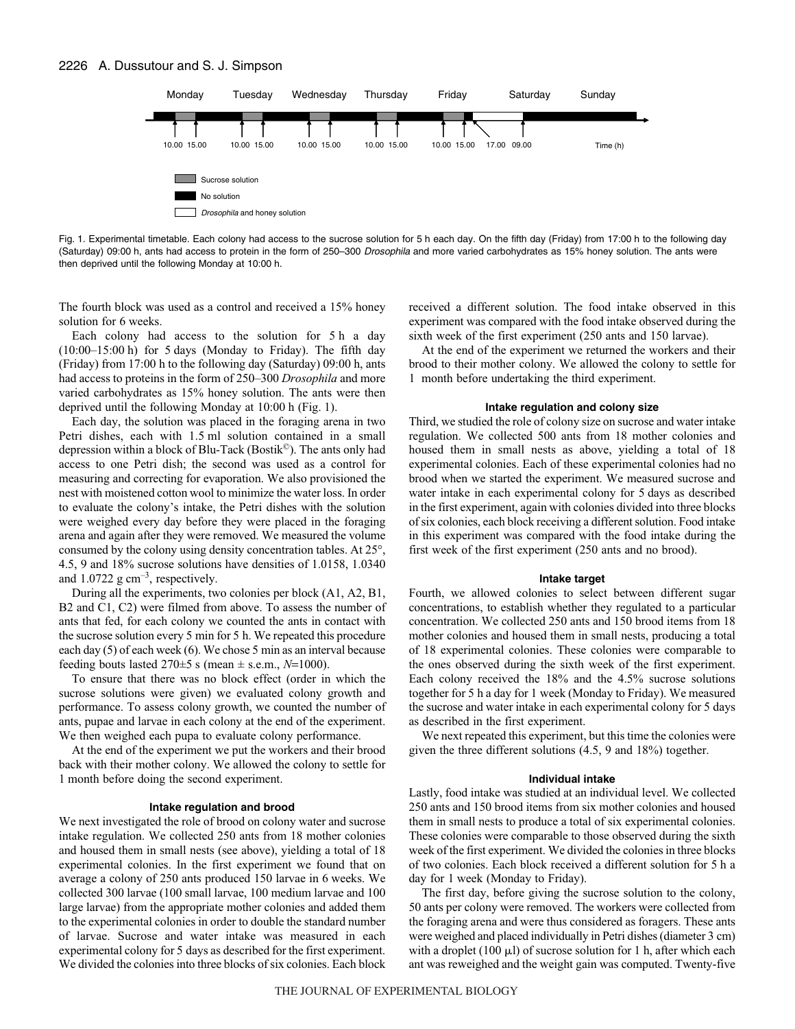

Fig. 1. Experimental timetable. Each colony had access to the sucrose solution for 5 h each day. On the fifth day (Friday) from 17:00 h to the following day (Saturday) 09:00 h, ants had access to protein in the form of 250–300 Drosophila and more varied carbohydrates as 15% honey solution. The ants were then deprived until the following Monday at 10:00 h.

The fourth block was used as a control and received a 15% honey solution for 6 weeks.

Each colony had access to the solution for  $5h$  a day  $(10:00-15:00h)$  for 5 days (Monday to Friday). The fifth day (Friday) from 17:00 h to the following day (Saturday) 09:00 h, ants had access to proteins in the form of 250–300 *Drosophila* and more varied carbohydrates as 15% honey solution. The ants were then deprived until the following Monday at 10:00 h (Fig. 1).

Each day, the solution was placed in the foraging arena in two Petri dishes, each with 1.5 ml solution contained in a small depression within a block of Blu-Tack (Bostik©). The ants only had access to one Petri dish; the second was used as a control for measuring and correcting for evaporation. We also provisioned the nest with moistened cotton wool to minimize the water loss. In order to evaluate the colony's intake, the Petri dishes with the solution were weighed every day before they were placed in the foraging arena and again after they were removed. We measured the volume consumed by the colony using density concentration tables. At 25°, 4.5, 9 and 18% sucrose solutions have densities of 1.0158, 1.0340 and  $1.0722~\text{g cm}^{-3}$ , respectively.

During all the experiments, two colonies per block (A1, A2, B1, B2 and C1, C2) were filmed from above. To assess the number of ants that fed, for each colony we counted the ants in contact with the sucrose solution every 5 min for 5 h. We repeated this procedure each day  $(5)$  of each week  $(6)$ . We chose 5 min as an interval because feeding bouts lasted  $270±5$  s (mean  $\pm$  s.e.m.,  $N=1000$ ).

To ensure that there was no block effect (order in which the sucrose solutions were given) we evaluated colony growth and performance. To assess colony growth, we counted the number of ants, pupae and larvae in each colony at the end of the experiment. We then weighed each pupa to evaluate colony performance.

At the end of the experiment we put the workers and their brood back with their mother colony. We allowed the colony to settle for 1 month before doing the second experiment.

#### **Intake regulation and brood**

We next investigated the role of brood on colony water and sucrose intake regulation. We collected 250 ants from 18 mother colonies and housed them in small nests (see above), yielding a total of 18 experimental colonies. In the first experiment we found that on average a colony of 250 ants produced 150 larvae in 6 weeks. We collected 300 larvae (100 small larvae, 100 medium larvae and 100 large larvae) from the appropriate mother colonies and added them to the experimental colonies in order to double the standard number of larvae. Sucrose and water intake was measured in each experimental colony for 5 days as described for the first experiment. We divided the colonies into three blocks of six colonies. Each block received a different solution. The food intake observed in this experiment was compared with the food intake observed during the sixth week of the first experiment (250 ants and 150 larvae).

At the end of the experiment we returned the workers and their brood to their mother colony. We allowed the colony to settle for 1· month before undertaking the third experiment.

#### **Intake regulation and colony size**

Third, we studied the role of colony size on sucrose and water intake regulation. We collected 500 ants from 18 mother colonies and housed them in small nests as above, yielding a total of 18 experimental colonies. Each of these experimental colonies had no brood when we started the experiment. We measured sucrose and water intake in each experimental colony for 5 days as described in the first experiment, again with colonies divided into three blocks of six colonies, each block receiving a different solution. Food intake in this experiment was compared with the food intake during the first week of the first experiment (250 ants and no brood).

#### **Intake target**

Fourth, we allowed colonies to select between different sugar concentrations, to establish whether they regulated to a particular concentration. We collected 250 ants and 150 brood items from 18 mother colonies and housed them in small nests, producing a total of 18 experimental colonies. These colonies were comparable to the ones observed during the sixth week of the first experiment. Each colony received the 18% and the 4.5% sucrose solutions together for 5 h a day for 1 week (Monday to Friday). We measured the sucrose and water intake in each experimental colony for 5 days as described in the first experiment.

We next repeated this experiment, but this time the colonies were given the three different solutions (4.5, 9 and 18%) together.

#### **Individual intake**

Lastly, food intake was studied at an individual level. We collected 250 ants and 150 brood items from six mother colonies and housed them in small nests to produce a total of six experimental colonies. These colonies were comparable to those observed during the sixth week of the first experiment. We divided the colonies in three blocks of two colonies. Each block received a different solution for 5 h a day for 1 week (Monday to Friday).

The first day, before giving the sucrose solution to the colony, 50 ants per colony were removed. The workers were collected from the foraging arena and were thus considered as foragers. These ants were weighed and placed individually in Petri dishes (diameter 3 cm) with a droplet (100  $\mu$ l) of sucrose solution for 1 h, after which each ant was reweighed and the weight gain was computed. Twenty-five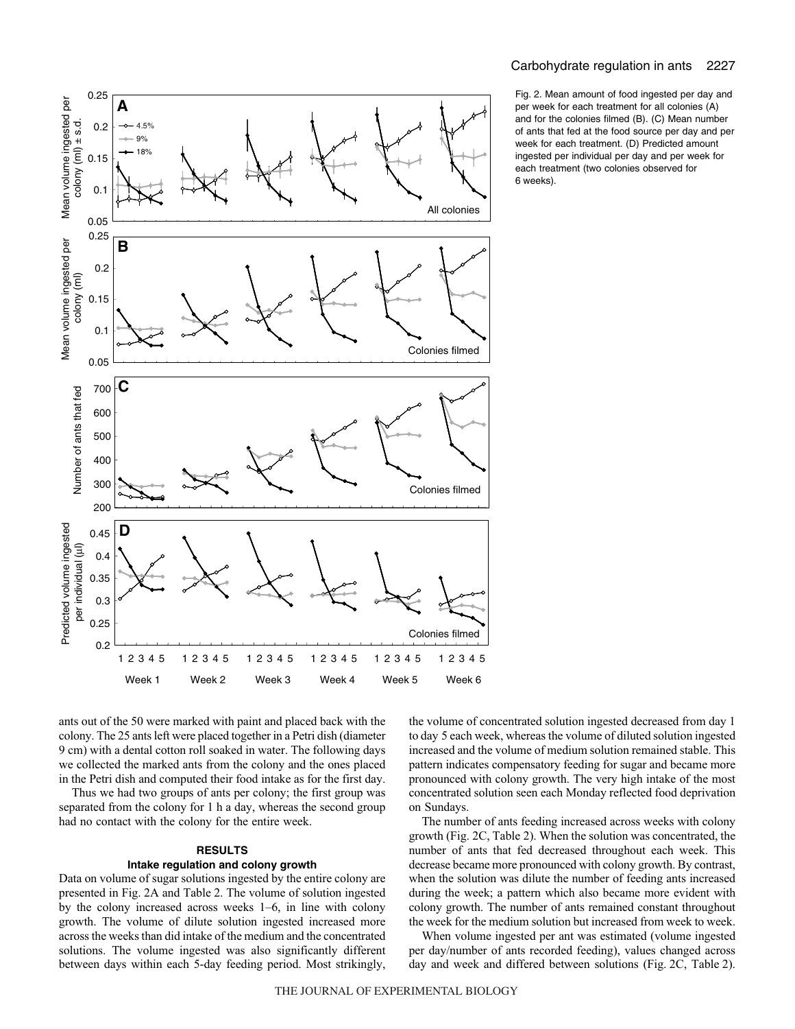

Fig. 2. Mean amount of food ingested per day and per week for each treatment for all colonies (A) and for the colonies filmed (B). (C) Mean number of ants that fed at the food source per day and per week for each treatment. (D) Predicted amount ingested per individual per day and per week for each treatment (two colonies observed for 6 weeks).

ants out of the 50 were marked with paint and placed back with the colony. The 25 ants left were placed together in a Petri dish (diameter 9 cm) with a dental cotton roll soaked in water. The following days we collected the marked ants from the colony and the ones placed in the Petri dish and computed their food intake as for the first day.

Thus we had two groups of ants per colony; the first group was separated from the colony for 1 h a day, whereas the second group had no contact with the colony for the entire week.

## **RESULTS**

## **Intake regulation and colony growth**

Data on volume of sugar solutions ingested by the entire colony are presented in Fig. 2A and Table 2. The volume of solution ingested by the colony increased across weeks 1–6, in line with colony growth. The volume of dilute solution ingested increased more across the weeks than did intake of the medium and the concentrated solutions. The volume ingested was also significantly different between days within each 5-day feeding period. Most strikingly, the volume of concentrated solution ingested decreased from day 1 to day 5 each week, whereas the volume of diluted solution ingested increased and the volume of medium solution remained stable. This pattern indicates compensatory feeding for sugar and became more pronounced with colony growth. The very high intake of the most concentrated solution seen each Monday reflected food deprivation on Sundays.

The number of ants feeding increased across weeks with colony growth (Fig. 2C, Table 2). When the solution was concentrated, the number of ants that fed decreased throughout each week. This decrease became more pronounced with colony growth. By contrast, when the solution was dilute the number of feeding ants increased during the week; a pattern which also became more evident with colony growth. The number of ants remained constant throughout the week for the medium solution but increased from week to week.

When volume ingested per ant was estimated (volume ingested per day/number of ants recorded feeding), values changed across day and week and differed between solutions (Fig. 2C, Table 2).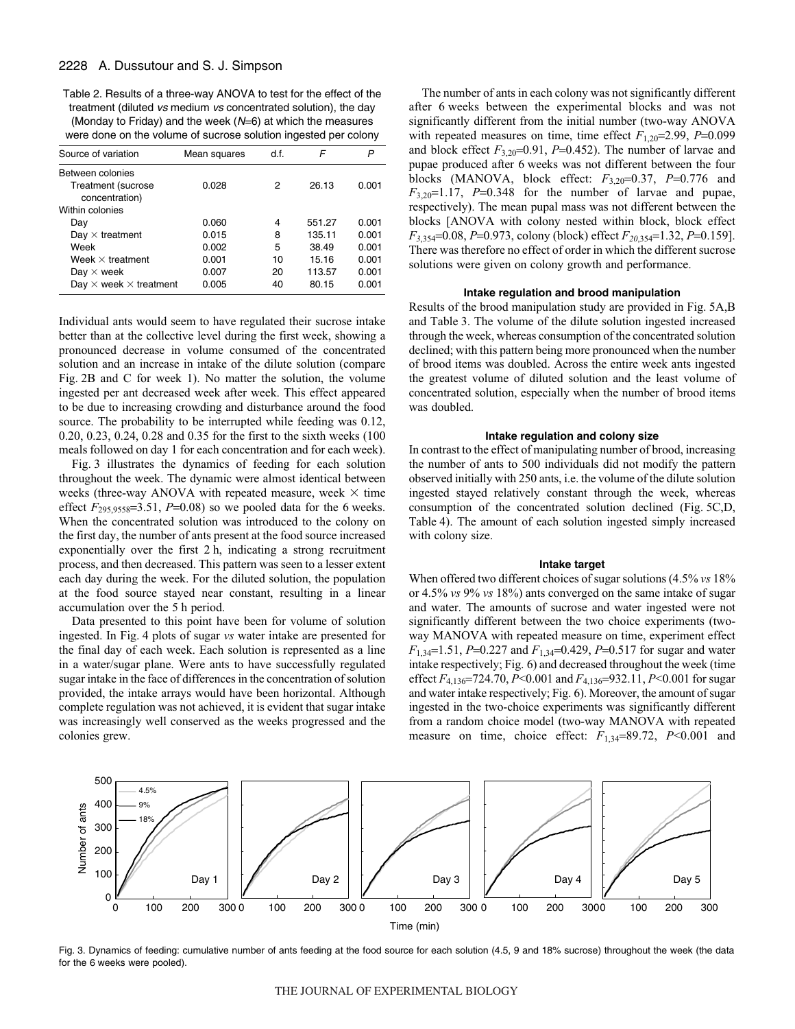Table 2. Results of a three-way ANOVA to test for the effect of the treatment (diluted vs medium vs concentrated solution), the day (Monday to Friday) and the week  $(N=6)$  at which the measures were done on the volume of sucrose solution ingested per colony

| Source of variation                  | Mean squares | d.f. | F      | P     |
|--------------------------------------|--------------|------|--------|-------|
| Between colonies                     |              |      |        |       |
| Treatment (sucrose<br>concentration) | 0.028        | 2    | 26.13  | 0.001 |
| Within colonies                      |              |      |        |       |
| Day                                  | 0.060        | 4    | 551.27 | 0.001 |
| Day $\times$ treatment               | 0.015        | 8    | 135.11 | 0.001 |
| Week                                 | 0.002        | 5    | 38.49  | 0.001 |
| Week $\times$ treatment              | 0.001        | 10   | 15.16  | 0.001 |
| Day $\times$ week                    | 0.007        | 20   | 113.57 | 0.001 |
| Day $\times$ week $\times$ treatment | 0.005        | 40   | 80.15  | 0.001 |

Individual ants would seem to have regulated their sucrose intake better than at the collective level during the first week, showing a pronounced decrease in volume consumed of the concentrated solution and an increase in intake of the dilute solution (compare Fig. 2B and C for week 1). No matter the solution, the volume ingested per ant decreased week after week. This effect appeared to be due to increasing crowding and disturbance around the food source. The probability to be interrupted while feeding was 0.12, 0.20, 0.23, 0.24, 0.28 and 0.35 for the first to the sixth weeks (100 meals followed on day 1 for each concentration and for each week).

Fig. 3 illustrates the dynamics of feeding for each solution throughout the week. The dynamic were almost identical between weeks (three-way ANOVA with repeated measure, week  $\times$  time effect  $F_{295,9558}=3.51, P=0.08$  so we pooled data for the 6 weeks. When the concentrated solution was introduced to the colony on the first day, the number of ants present at the food source increased exponentially over the first 2 h, indicating a strong recruitment process, and then decreased. This pattern was seen to a lesser extent each day during the week. For the diluted solution, the population at the food source stayed near constant, resulting in a linear accumulation over the 5 h period.

Data presented to this point have been for volume of solution ingested. In Fig. 4 plots of sugar *vs* water intake are presented for the final day of each week. Each solution is represented as a line in a water/sugar plane. Were ants to have successfully regulated sugar intake in the face of differences in the concentration of solution provided, the intake arrays would have been horizontal. Although complete regulation was not achieved, it is evident that sugar intake was increasingly well conserved as the weeks progressed and the colonies grew.

The number of ants in each colony was not significantly different after 6 weeks between the experimental blocks and was not significantly different from the initial number (two-way ANOVA with repeated measures on time, time effect  $F_{1,20}$ =2.99,  $P$ =0.099 and block effect  $F_{3,20}=0.91$ ,  $P=0.452$ ). The number of larvae and pupae produced after 6 weeks was not different between the four blocks (MANOVA, block effect: *F*3,20=0.37, *P*=0.776 and  $F_{3,20}=1.17$ ,  $P=0.348$  for the number of larvae and pupae, respectively). The mean pupal mass was not different between the blocks [ANOVA with colony nested within block, block effect *F*<sub>3,354</sub>=0.08, *P*=0.973, colony (block) effect *F*<sub>20,354</sub>=1.32, *P*=0.159]. There was therefore no effect of order in which the different sucrose solutions were given on colony growth and performance.

## **Intake regulation and brood manipulation**

Results of the brood manipulation study are provided in Fig. 5A,B and Table 3. The volume of the dilute solution ingested increased through the week, whereas consumption of the concentrated solution declined; with this pattern being more pronounced when the number of brood items was doubled. Across the entire week ants ingested the greatest volume of diluted solution and the least volume of concentrated solution, especially when the number of brood items was doubled.

## **Intake regulation and colony size**

In contrast to the effect of manipulating number of brood, increasing the number of ants to 500 individuals did not modify the pattern observed initially with 250 ants, i.e. the volume of the dilute solution ingested stayed relatively constant through the week, whereas consumption of the concentrated solution declined (Fig. 5C,D, Table 4). The amount of each solution ingested simply increased with colony size.

#### **Intake target**

When offered two different choices of sugar solutions (4.5% *vs* 18% or 4.5% *vs* 9% *vs* 18%) ants converged on the same intake of sugar and water. The amounts of sucrose and water ingested were not significantly different between the two choice experiments (twoway MANOVA with repeated measure on time, experiment effect *F*1,34=1.51, *P*=0.227 and *F*1,34=0.429, *P*=0.517 for sugar and water intake respectively; Fig. 6) and decreased throughout the week (time effect *F*4,136=724.70, *P*<0.001 and *F*4,136=932.11, *P*<0.001 for sugar and water intake respectively; Fig. 6). Moreover, the amount of sugar ingested in the two-choice experiments was significantly different from a random choice model (two-way MANOVA with repeated measure on time, choice effect: *F*1,34=89.72, *P*<0.001 and



Fig. 3. Dynamics of feeding: cumulative number of ants feeding at the food source for each solution (4.5, 9 and 18% sucrose) throughout the week (the data for the 6 weeks were pooled).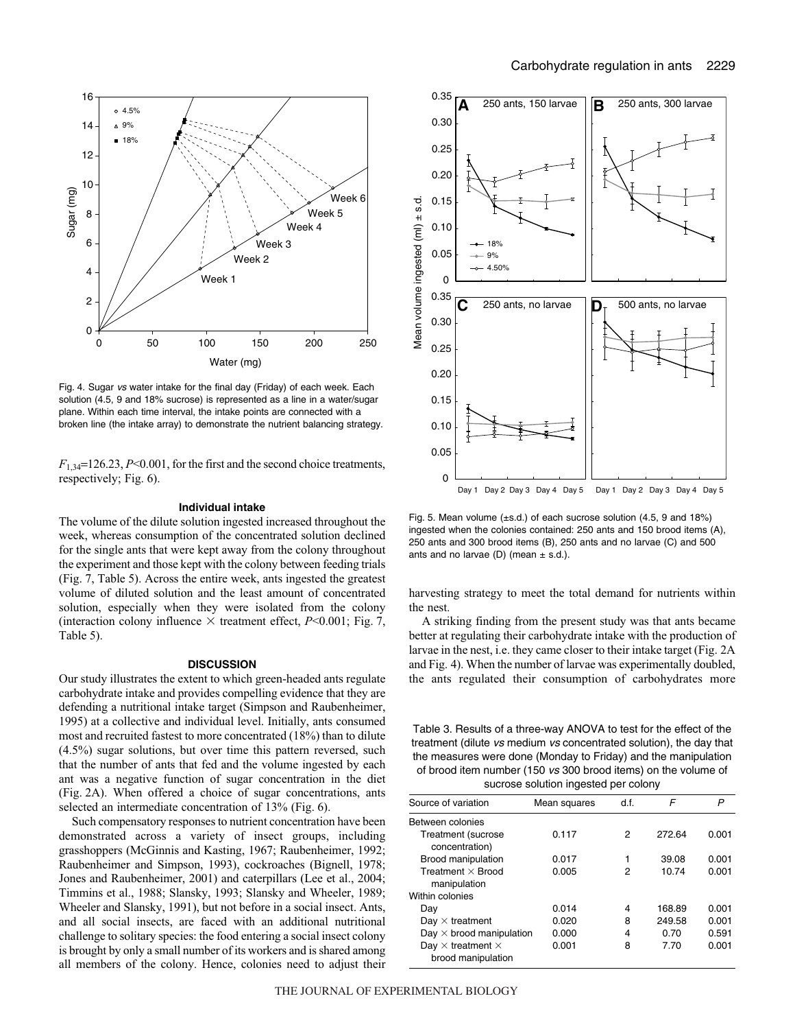

Fig. 4. Sugar vs water intake for the final day (Friday) of each week. Each solution (4.5, 9 and 18% sucrose) is represented as a line in a water/sugar plane. Within each time interval, the intake points are connected with a broken line (the intake array) to demonstrate the nutrient balancing strategy.

*F*1,34=126.23, *P*<0.001, for the first and the second choice treatments, respectively; Fig. 6).

### **Individual intake**

The volume of the dilute solution ingested increased throughout the week, whereas consumption of the concentrated solution declined for the single ants that were kept away from the colony throughout the experiment and those kept with the colony between feeding trials (Fig. 7, Table 5). Across the entire week, ants ingested the greatest volume of diluted solution and the least amount of concentrated solution, especially when they were isolated from the colony (interaction colony influence  $\times$  treatment effect, *P*<0.001; Fig. 7, Table 5).

#### **DISCUSSION**

Our study illustrates the extent to which green-headed ants regulate carbohydrate intake and provides compelling evidence that they are defending a nutritional intake target (Simpson and Raubenheimer, 1995) at a collective and individual level. Initially, ants consumed most and recruited fastest to more concentrated (18%) than to dilute (4.5%) sugar solutions, but over time this pattern reversed, such that the number of ants that fed and the volume ingested by each ant was a negative function of sugar concentration in the diet (Fig. 2A). When offered a choice of sugar concentrations, ants selected an intermediate concentration of 13% (Fig. 6).

Such compensatory responses to nutrient concentration have been demonstrated across a variety of insect groups, including grasshoppers (McGinnis and Kasting, 1967; Raubenheimer, 1992; Raubenheimer and Simpson, 1993), cockroaches (Bignell, 1978; Jones and Raubenheimer, 2001) and caterpillars (Lee et al., 2004; Timmins et al., 1988; Slansky, 1993; Slansky and Wheeler, 1989; Wheeler and Slansky, 1991), but not before in a social insect. Ants, and all social insects, are faced with an additional nutritional challenge to solitary species: the food entering a social insect colony is brought by only a small number of its workers and is shared among all members of the colony. Hence, colonies need to adjust their



Fig. 5. Mean volume  $(\pm s.d.)$  of each sucrose solution (4.5, 9 and 18%) ingested when the colonies contained: 250 ants and 150 brood items (A), 250 ants and 300 brood items (B), 250 ants and no larvae (C) and 500 ants and no larvae (D) (mean  $\pm$  s.d.).

harvesting strategy to meet the total demand for nutrients within the nest.

A striking finding from the present study was that ants became better at regulating their carbohydrate intake with the production of larvae in the nest, i.e. they came closer to their intake target (Fig. 2A and Fig. 4). When the number of larvae was experimentally doubled, the ants regulated their consumption of carbohydrates more

Table 3. Results of a three-way ANOVA to test for the effect of the treatment (dilute vs medium vs concentrated solution), the day that the measures were done (Monday to Friday) and the manipulation of brood item number (150 vs 300 brood items) on the volume of sucrose solution ingested per colony

| Source of variation                                   | Mean squares | df. | F      | P     |
|-------------------------------------------------------|--------------|-----|--------|-------|
| Between colonies                                      |              |     |        |       |
| Treatment (sucrose<br>concentration)                  | 0.117        | 2   | 272.64 | 0.001 |
| Brood manipulation                                    | 0.017        |     | 39.08  | 0.001 |
| Treatment $\times$ Brood<br>manipulation              | 0.005        | 2   | 10.74  | 0.001 |
| Within colonies                                       |              |     |        |       |
| Day                                                   | 0.014        | 4   | 168.89 | 0.001 |
| Day $\times$ treatment                                | 0.020        | 8   | 249.58 | 0.001 |
| Day $\times$ brood manipulation                       | 0.000        | 4   | 0.70   | 0.591 |
| Day $\times$ treatment $\times$<br>brood manipulation | 0.001        | 8   | 7.70   | 0.001 |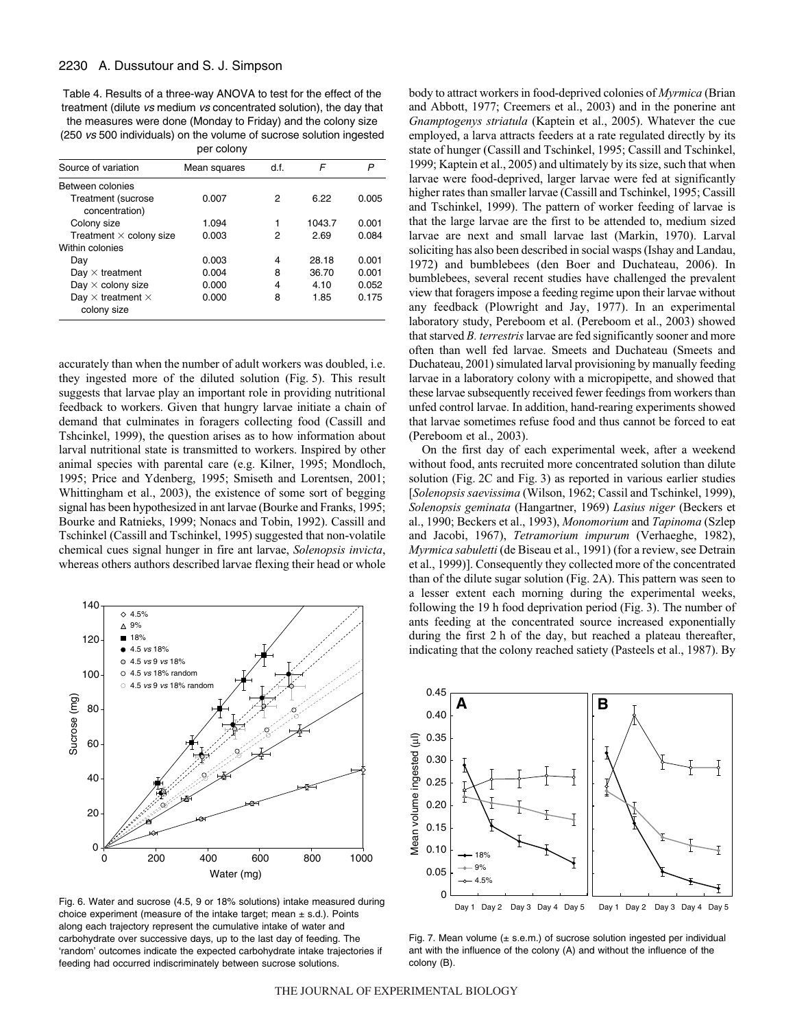Table 4. Results of a three-way ANOVA to test for the effect of the treatment (dilute vs medium vs concentrated solution), the day that the measures were done (Monday to Friday) and the colony size (250 vs 500 individuals) on the volume of sucrose solution ingested

|                                                | per colony   |     |        |       |
|------------------------------------------------|--------------|-----|--------|-------|
| Source of variation                            | Mean squares | df. | F      | P     |
| Between colonies                               |              |     |        |       |
| Treatment (sucrose<br>concentration)           | 0.007        | 2   | 6.22   | 0.005 |
| Colony size                                    | 1.094        |     | 1043.7 | 0.001 |
| Treatment $\times$ colony size                 | 0.003        | 2   | 2.69   | 0.084 |
| Within colonies                                |              |     |        |       |
| Day                                            | 0.003        | 4   | 28.18  | 0.001 |
| Day $\times$ treatment                         | 0.004        | 8   | 36.70  | 0.001 |
| Day $\times$ colony size                       | 0.000        | 4   | 4.10   | 0.052 |
| Day $\times$ treatment $\times$<br>colony size | 0.000        | 8   | 1.85   | 0.175 |

accurately than when the number of adult workers was doubled, i.e. they ingested more of the diluted solution (Fig. 5). This result suggests that larvae play an important role in providing nutritional feedback to workers. Given that hungry larvae initiate a chain of demand that culminates in foragers collecting food (Cassill and Tshcinkel, 1999), the question arises as to how information about larval nutritional state is transmitted to workers. Inspired by other animal species with parental care (e.g. Kilner, 1995; Mondloch, 1995; Price and Ydenberg, 1995; Smiseth and Lorentsen, 2001; Whittingham et al., 2003), the existence of some sort of begging signal has been hypothesized in ant larvae (Bourke and Franks, 1995; Bourke and Ratnieks, 1999; Nonacs and Tobin, 1992). Cassill and Tschinkel (Cassill and Tschinkel, 1995) suggested that non-volatile chemical cues signal hunger in fire ant larvae, *Solenopsis invicta*, whereas others authors described larvae flexing their head or whole



Fig. 6. Water and sucrose (4.5, 9 or 18% solutions) intake measured during choice experiment (measure of the intake target; mean  $\pm$  s.d.). Points along each trajectory represent the cumulative intake of water and carbohydrate over successive days, up to the last day of feeding. The 'random' outcomes indicate the expected carbohydrate intake trajectories if feeding had occurred indiscriminately between sucrose solutions.

body to attract workers in food-deprived colonies of *Myrmica* (Brian and Abbott, 1977; Creemers et al., 2003) and in the ponerine ant *Gnamptogenys striatula* (Kaptein et al., 2005). Whatever the cue employed, a larva attracts feeders at a rate regulated directly by its state of hunger (Cassill and Tschinkel, 1995; Cassill and Tschinkel, 1999; Kaptein et al., 2005) and ultimately by its size, such that when larvae were food-deprived, larger larvae were fed at significantly higher rates than smaller larvae (Cassill and Tschinkel, 1995; Cassill and Tschinkel, 1999). The pattern of worker feeding of larvae is that the large larvae are the first to be attended to, medium sized larvae are next and small larvae last (Markin, 1970). Larval soliciting has also been described in social wasps (Ishay and Landau, 1972) and bumblebees (den Boer and Duchateau, 2006). In bumblebees, several recent studies have challenged the prevalent view that foragers impose a feeding regime upon their larvae without any feedback (Plowright and Jay, 1977). In an experimental laboratory study, Pereboom et al. (Pereboom et al., 2003) showed that starved *B. terrestris*larvae are fed significantly sooner and more often than well fed larvae. Smeets and Duchateau (Smeets and Duchateau, 2001) simulated larval provisioning by manually feeding larvae in a laboratory colony with a micropipette, and showed that these larvae subsequently received fewer feedings from workers than unfed control larvae. In addition, hand-rearing experiments showed that larvae sometimes refuse food and thus cannot be forced to eat (Pereboom et al., 2003).

On the first day of each experimental week, after a weekend without food, ants recruited more concentrated solution than dilute solution (Fig. 2C and Fig. 3) as reported in various earlier studies [*Solenopsis saevissima* (Wilson, 1962; Cassil and Tschinkel, 1999), *Solenopsis geminata* (Hangartner, 1969) *Lasius niger* (Beckers et al., 1990; Beckers et al., 1993), *Monomorium* and *Tapinoma* (Szlep and Jacobi, 1967), *Tetramorium impurum* (Verhaeghe, 1982), *Myrmica sabuletti* (de Biseau et al., 1991) (for a review, see Detrain et al., 1999)]. Consequently they collected more of the concentrated than of the dilute sugar solution (Fig. 2A). This pattern was seen to a lesser extent each morning during the experimental weeks, following the 19 h food deprivation period (Fig. 3). The number of ants feeding at the concentrated source increased exponentially during the first 2 h of the day, but reached a plateau thereafter, indicating that the colony reached satiety (Pasteels et al., 1987). By



Fig. 7. Mean volume  $(± s.e.m.)$  of sucrose solution ingested per individual ant with the influence of the colony (A) and without the influence of the colony (B).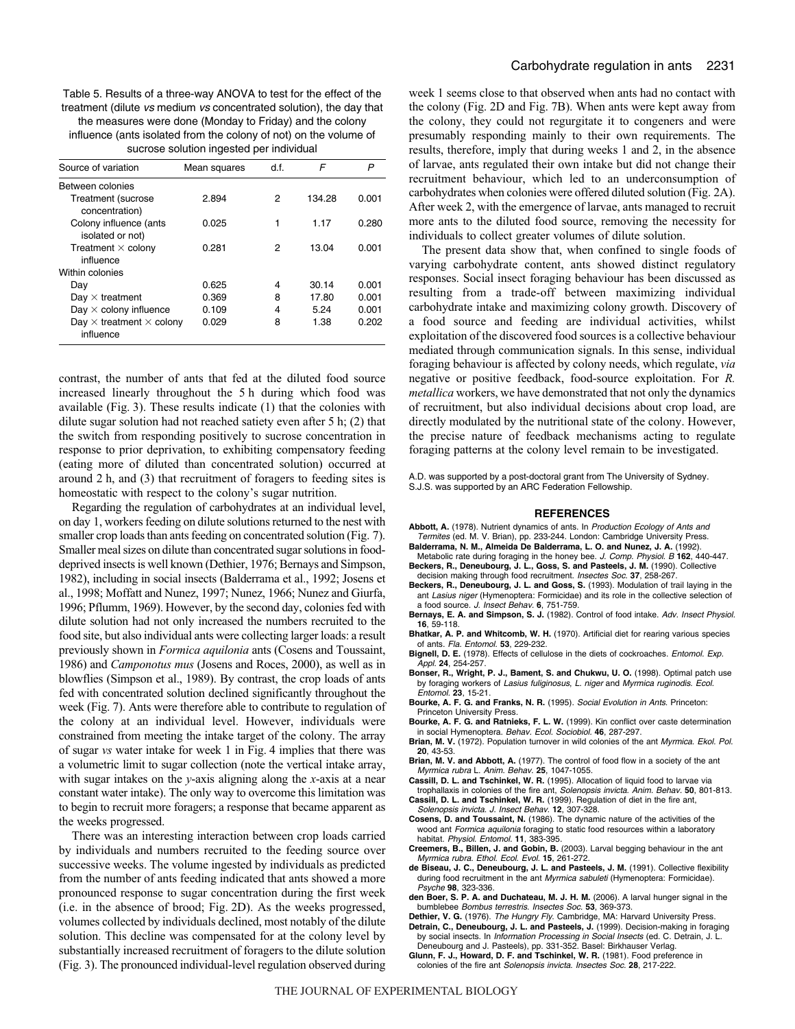Table 5. Results of a three-way ANOVA to test for the effect of the treatment (dilute vs medium vs concentrated solution), the day that the measures were done (Monday to Friday) and the colony influence (ants isolated from the colony of not) on the volume of sucrose solution ingested per individual

| Source of variation                                 | Mean squares | df. | F      |       |
|-----------------------------------------------------|--------------|-----|--------|-------|
| Between colonies                                    |              |     |        |       |
| Treatment (sucrose<br>concentration)                | 2.894        | 2   | 134.28 | 0.001 |
| Colony influence (ants<br>isolated or not)          | 0.025        | 1   | 1.17   | 0.280 |
| Treatment $\times$ colony<br>influence              | 0.281        | 2   | 13.04  | 0.001 |
| Within colonies                                     |              |     |        |       |
| Day                                                 | 0.625        | 4   | 30.14  | 0.001 |
| Day $\times$ treatment                              | 0.369        | 8   | 17.80  | 0.001 |
| Day $\times$ colony influence                       | 0.109        | 4   | 5.24   | 0.001 |
| Day $\times$ treatment $\times$ colony<br>influence | 0.029        | 8   | 1.38   | 0.202 |

contrast, the number of ants that fed at the diluted food source increased linearly throughout the 5 h during which food was available (Fig. 3). These results indicate  $(1)$  that the colonies with dilute sugar solution had not reached satiety even after  $5h$ ; (2) that the switch from responding positively to sucrose concentration in response to prior deprivation, to exhibiting compensatory feeding (eating more of diluted than concentrated solution) occurred at around  $2h$ , and  $(3)$  that recruitment of foragers to feeding sites is homeostatic with respect to the colony's sugar nutrition.

Regarding the regulation of carbohydrates at an individual level, on day·1, workers feeding on dilute solutions returned to the nest with smaller crop loads than ants feeding on concentrated solution (Fig. 7). Smaller meal sizes on dilute than concentrated sugar solutions in fooddeprived insects is well known (Dethier, 1976; Bernays and Simpson, 1982), including in social insects (Balderrama et al., 1992; Josens et al., 1998; Moffatt and Nunez, 1997; Nunez, 1966; Nunez and Giurfa, 1996; Pflumm, 1969). However, by the second day, colonies fed with dilute solution had not only increased the numbers recruited to the food site, but also individual ants were collecting larger loads: a result previously shown in *Formica aquilonia* ants (Cosens and Toussaint, 1986) and *Camponotus mus* (Josens and Roces, 2000), as well as in blowflies (Simpson et al., 1989). By contrast, the crop loads of ants fed with concentrated solution declined significantly throughout the week (Fig. 7). Ants were therefore able to contribute to regulation of the colony at an individual level. However, individuals were constrained from meeting the intake target of the colony. The array of sugar *vs* water intake for week 1 in Fig. 4 implies that there was a volumetric limit to sugar collection (note the vertical intake array, with sugar intakes on the *y*-axis aligning along the *x*-axis at a near constant water intake). The only way to overcome this limitation was to begin to recruit more foragers; a response that became apparent as the weeks progressed.

There was an interesting interaction between crop loads carried by individuals and numbers recruited to the feeding source over successive weeks. The volume ingested by individuals as predicted from the number of ants feeding indicated that ants showed a more pronounced response to sugar concentration during the first week (i.e. in the absence of brood; Fig. 2D). As the weeks progressed, volumes collected by individuals declined, most notably of the dilute solution. This decline was compensated for at the colony level by substantially increased recruitment of foragers to the dilute solution (Fig. 3). The pronounced individual-level regulation observed during week 1 seems close to that observed when ants had no contact with the colony (Fig. 2D and Fig. 7B). When ants were kept away from the colony, they could not regurgitate it to congeners and were presumably responding mainly to their own requirements. The results, therefore, imply that during weeks 1 and 2, in the absence of larvae, ants regulated their own intake but did not change their recruitment behaviour, which led to an underconsumption of carbohydrates when colonies were offered diluted solution (Fig. 2A). After week 2, with the emergence of larvae, ants managed to recruit more ants to the diluted food source, removing the necessity for individuals to collect greater volumes of dilute solution.

The present data show that, when confined to single foods of varying carbohydrate content, ants showed distinct regulatory responses. Social insect foraging behaviour has been discussed as resulting from a trade-off between maximizing individual carbohydrate intake and maximizing colony growth. Discovery of a food source and feeding are individual activities, whilst exploitation of the discovered food sources is a collective behaviour mediated through communication signals. In this sense, individual foraging behaviour is affected by colony needs, which regulate, *via* negative or positive feedback, food-source exploitation. For *R. metallica* workers, we have demonstrated that not only the dynamics of recruitment, but also individual decisions about crop load, are directly modulated by the nutritional state of the colony. However, the precise nature of feedback mechanisms acting to regulate foraging patterns at the colony level remain to be investigated.

A.D. was supported by a post-doctoral grant from The University of Sydney. S.J.S. was supported by an ARC Federation Fellowship.

#### **REFERENCES**

- Abbott, A. (1978). Nutrient dynamics of ants. In Production Ecology of Ants and Termites (ed. M. V. Brian), pp. 233-244. London: Cambridge University Press.
- **Balderrama, N. M., Almeida De Balderrama, L. O. and Nunez, J. A.** (1992). Metabolic rate during foraging in the honey bee. J. Comp. Physiol. B **162**, 440-447.
- **Beckers, R., Deneubourg, J. L., Goss, S. and Pasteels, J. M.** (1990). Collective decision making through food recruitment. Insectes Soc. **37**, 258-267.
- **Beckers, R., Deneubourg, J. L. and Goss, S.** (1993). Modulation of trail laying in the ant Lasius niger (Hymenoptera: Formicidae) and its role in the collective selection of a food source. J. Insect Behav. **6**, 751-759.
- **Bernays, E. A. and Simpson, S. J.** (1982). Control of food intake. Adv. Insect Physiol. **16**, 59-118.
- **Bhatkar, A. P. and Whitcomb, W. H.** (1970). Artificial diet for rearing various species of ants. Fla. Entomol. **53**, 229-232.
- **Bignell, D. E.** (1978). Effects of cellulose in the diets of cockroaches. Entomol. Exp. Appl. **24**, 254-257.
- **Bonser, R., Wright, P. J., Bament, S. and Chukwu, U. O.** (1998). Optimal patch use by foraging workers of Lasius fuliginosus, L. niger and Myrmica ruginodis. Ecol. Entomol. **23**, 15-21.
- **Bourke, A. F. G. and Franks, N. R.** (1995). Social Evolution in Ants. Princeton: Princeton University Press.
- **Bourke, A. F. G. and Ratnieks, F. L. W.** (1999). Kin conflict over caste determination in social Hymenoptera. Behav. Ecol. Sociobiol. **46**, 287-297.
- **Brian, M. V.** (1972). Population turnover in wild colonies of the ant Myrmica. Ekol. Pol. **20**, 43-53.
- **Brian, M. V. and Abbott, A.** (1977). The control of food flow in a society of the ant Myrmica rubra L. Anim. Behav. **25**, 1047-1055.
- **Cassill, D. L. and Tschinkel, W. R.** (1995). Allocation of liquid food to larvae via trophallaxis in colonies of the fire ant, Solenopsis invicta. Anim. Behav. **50**, 801-813. **Cassill, D. L. and Tschinkel, W. R.** (1999). Regulation of diet in the fire ant,
- Solenopsis invicta. J. Insect Behav. **12**, 307-328. **Cosens, D. and Toussaint, N.** (1986). The dynamic nature of the activities of the
- wood ant Formica aquilonia foraging to static food resources within a laboratory habitat. Physiol. Entomol. **11**, 383-395.
- **Creemers, B., Billen, J. and Gobin, B.** (2003). Larval begging behaviour in the ant Myrmica rubra. Ethol. Ecol. Evol. **15**, 261-272.
- **de Biseau, J. C., Deneubourg, J. L. and Pasteels, J. M.** (1991). Collective flexibility during food recruitment in the ant Myrmica sabuleti (Hymenoptera: Formicidae). Psyche **98**, 323-336.
- **den Boer, S. P. A. and Duchateau, M. J. H. M.** (2006). A larval hunger signal in the bumblebee Bombus terrestris. Insectes Soc. **53**, 369-373.
- Dethier, V. G. (1976). The Hungry Fly. Cambridge, MA: Harvard University Press. **Detrain, C., Deneubourg, J. L. and Pasteels, J.** (1999). Decision-making in foraging by social insects. In Information Processing in Social Insects (ed. C. Detrain, J. L. Deneubourg and J. Pasteels), pp. 331-352. Basel: Birkhauser Verlag.
- **Glunn, F. J., Howard, D. F. and Tschinkel, W. R.** (1981). Food preference in colonies of the fire ant Solenopsis invicta. Insectes Soc. **28**, 217-222.